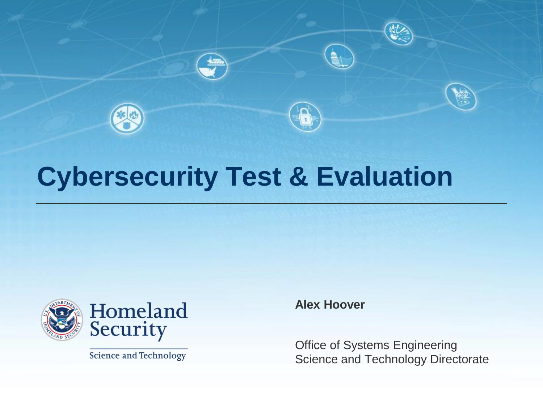

## **Cybersecurity Test & Evaluation**



**Science and Technology** 

**Alex Hoover**

Office of Systems Engineering Science and Technology Directorate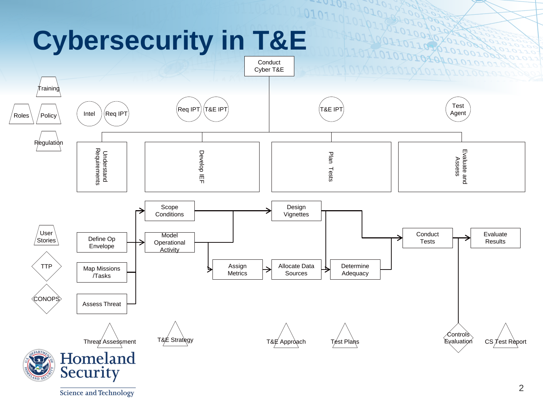## **Cybersecurity in T&E**



 $1010^{10}$ 

Science and Technology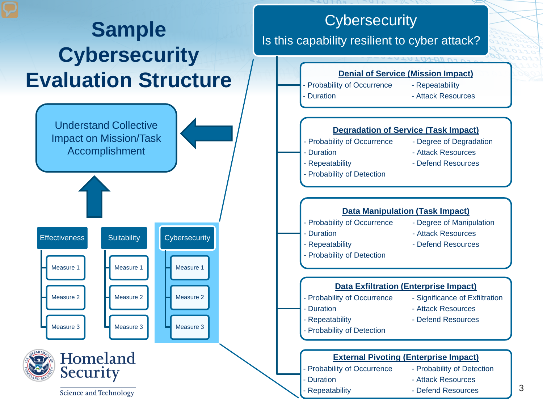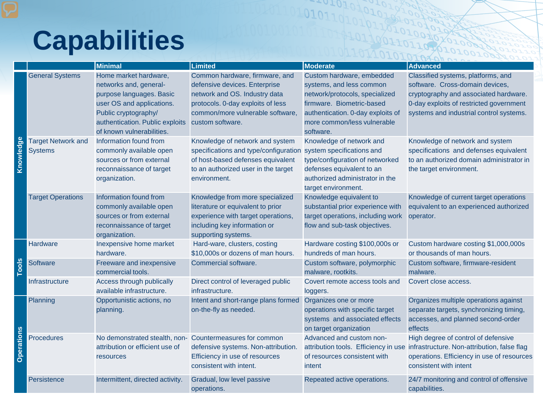## **Capabilities**

|                   |                                             | <b>Minimal</b>                                                                                                                                                                                   | <b>Limited</b>                                                                                                                                                                                | <b>Moderate</b>                                                                                                                                                                                       | <b>Advanced</b>                                                                                                                                                                                      |
|-------------------|---------------------------------------------|--------------------------------------------------------------------------------------------------------------------------------------------------------------------------------------------------|-----------------------------------------------------------------------------------------------------------------------------------------------------------------------------------------------|-------------------------------------------------------------------------------------------------------------------------------------------------------------------------------------------------------|------------------------------------------------------------------------------------------------------------------------------------------------------------------------------------------------------|
| edge<br>Knowl     | <b>General Systems</b>                      | Home market hardware,<br>networks and, general-<br>purpose languages. Basic<br>user OS and applications.<br>Public cryptography/<br>authentication. Public exploits<br>of known vulnerabilities. | Common hardware, firmware, and<br>defensive devices. Enterprise<br>network and OS. Industry data<br>protocols. 0-day exploits of less<br>common/more vulnerable software,<br>custom software. | Custom hardware, embedded<br>systems, and less common<br>network/protocols, specialized<br>firmware. Biometric-based<br>authentication. 0-day exploits of<br>more common/less vulnerable<br>software. | Classified systems, platforms, and<br>software. Cross-domain devices,<br>cryptography and associated hardware.<br>0-day exploits of restricted government<br>systems and industrial control systems. |
|                   | <b>Target Network and</b><br><b>Systems</b> | Information found from<br>commonly available open<br>sources or from external<br>reconnaissance of target<br>organization.                                                                       | Knowledge of network and system<br>specifications and type/configuration<br>of host-based defenses equivalent<br>to an authorized user in the target<br>environment.                          | Knowledge of network and<br>system specifications and<br>type/configuration of networked<br>defenses equivalent to an<br>authorized administrator in the<br>target environment.                       | Knowledge of network and system<br>specifications and defenses equivalent<br>to an authorized domain administrator in<br>the target environment.                                                     |
|                   | <b>Target Operations</b>                    | Information found from<br>commonly available open<br>sources or from external<br>reconnaissance of target<br>organization.                                                                       | Knowledge from more specialized<br>literature or equivalent to prior<br>experience with target operations,<br>including key information or<br>supporting systems.                             | Knowledge equivalent to<br>substantial prior experience with<br>target operations, including work<br>flow and sub-task objectives.                                                                    | Knowledge of current target operations<br>equivalent to an experienced authorized<br>operator.                                                                                                       |
| <u>Slool</u>      | Hardware                                    | Inexpensive home market<br>hardware.                                                                                                                                                             | Hard-ware, clusters, costing<br>\$10,000s or dozens of man hours.                                                                                                                             | Hardware costing \$100,000s or<br>hundreds of man hours.                                                                                                                                              | Custom hardware costing \$1,000,000s<br>or thousands of man hours.                                                                                                                                   |
|                   | Software                                    | Freeware and inexpensive<br>commercial tools.                                                                                                                                                    | Commercial software.                                                                                                                                                                          | Custom software, polymorphic<br>malware, rootkits.                                                                                                                                                    | Custom software, firmware-resident<br>malware.                                                                                                                                                       |
|                   | Infrastructure                              | Access through publically<br>available infrastructure.                                                                                                                                           | Direct control of leveraged public<br>infrastructure.                                                                                                                                         | Covert remote access tools and<br>loggers.                                                                                                                                                            | Covert close access.                                                                                                                                                                                 |
| <b>Operations</b> | Planning                                    | Opportunistic actions, no<br>planning.                                                                                                                                                           | Intent and short-range plans formed<br>on-the-fly as needed.                                                                                                                                  | Organizes one or more<br>operations with specific target<br>systems and associated effects<br>on target organization                                                                                  | Organizes multiple operations against<br>separate targets, synchronizing timing,<br>accesses, and planned second-order<br>effects                                                                    |
|                   | <b>Procedures</b>                           | No demonstrated stealth, non-Countermeasures for common<br>attribution or efficient use of<br>resources                                                                                          | defensive systems. Non-attribution.<br>Efficiency in use of resources<br>consistent with intent.                                                                                              | Advanced and custom non-<br>attribution tools. Efficiency in use<br>of resources consistent with<br>intent                                                                                            | High degree of control of defensive<br>infrastructure. Non-attribution, false flag<br>operations. Efficiency in use of resources<br>consistent with intent                                           |
|                   | Persistence                                 | Intermittent, directed activity.                                                                                                                                                                 | Gradual, low level passive<br>operations.                                                                                                                                                     | Repeated active operations.                                                                                                                                                                           | 24/7 monitoring and control of offensive<br>capabilities.                                                                                                                                            |